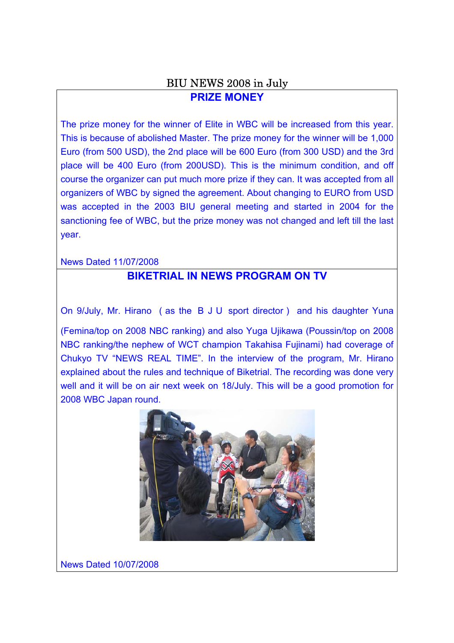# BIU NEWS 2008 in July **PRIZE MONEY**

The prize money for the winner of Elite in WBC will be increased from this year. This is because of abolished Master. The prize money for the winner will be 1,000 Euro (from 500 USD), the 2nd place will be 600 Euro (from 300 USD) and the 3rd place will be 400 Euro (from 200USD). This is the minimum condition, and off course the organizer can put much more prize if they can. It was accepted from all organizers of WBC by signed the agreement. About changing to EURO from USD was accepted in the 2003 BIU general meeting and started in 2004 for the sanctioning fee of WBC, but the prize money was not changed and left till the last year.

News Dated 11/07/2008

# **BIKETRIAL IN NEWS PROGRAM ON TV**

On 9/July, Mr. Hirano (as the BJU sport director) and his daughter Yuna

(Femina/top on 2008 NBC ranking) and also Yuga Ujikawa (Poussin/top on 2008 NBC ranking/the nephew of WCT champion Takahisa Fujinami) had coverage of Chukyo TV "NEWS REAL TIME". In the interview of the program, Mr. Hirano explained about the rules and technique of Biketrial. The recording was done very well and it will be on air next week on 18/July. This will be a good promotion for 2008 WBC Japan round.



News Dated 10/07/2008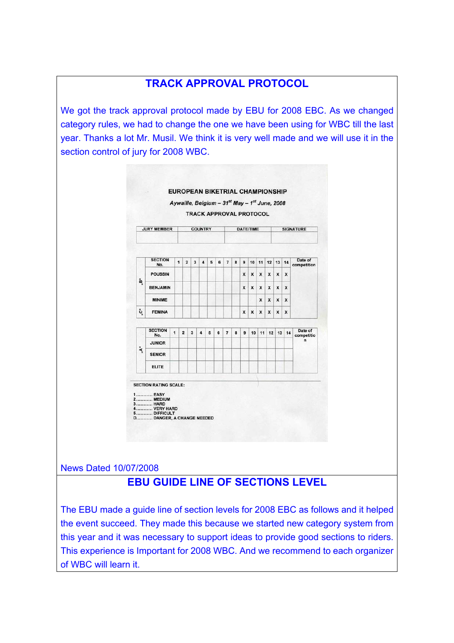# **TRACK APPROVAL PROTOCOL**

We got the track approval protocol made by EBU for 2008 EBC. As we changed category rules, we had to change the one we have been using for WBC till the last year. Thanks a lot Mr. Musil. We think it is very well made and we will use it in the section control of jury for 2008 WBC.



News Dated 10/07/2008

# **EBU GUIDE LINE OF SECTIONS LEVEL**

The EBU made a guide line of section levels for 2008 EBC as follows and it helped the event succeed. They made this because we started new category system from this year and it was necessary to support ideas to provide good sections to riders. This experience is Important for 2008 WBC. And we recommend to each organizer of WBC will learn it.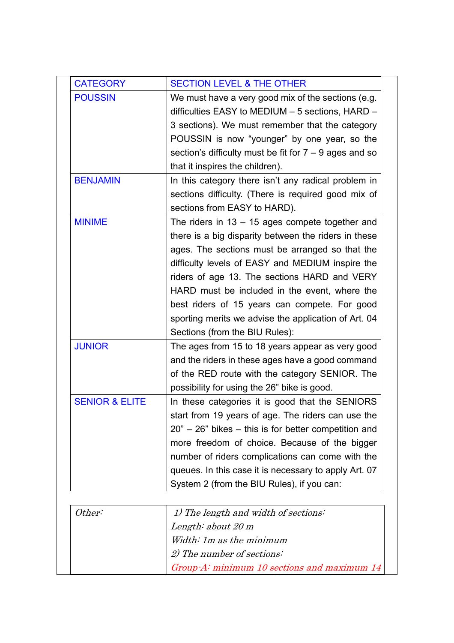| <b>CATEGORY</b>           | <b>SECTION LEVEL &amp; THE OTHER</b>                                                                   |
|---------------------------|--------------------------------------------------------------------------------------------------------|
| <b>POUSSIN</b>            | We must have a very good mix of the sections (e.g.<br>difficulties EASY to MEDIUM - 5 sections, HARD - |
|                           | 3 sections). We must remember that the category                                                        |
|                           | POUSSIN is now "younger" by one year, so the                                                           |
|                           | section's difficulty must be fit for $7 - 9$ ages and so                                               |
|                           | that it inspires the children).                                                                        |
| <b>BENJAMIN</b>           | In this category there isn't any radical problem in                                                    |
|                           | sections difficulty. (There is required good mix of                                                    |
|                           | sections from EASY to HARD).                                                                           |
| <b>MINIME</b>             | The riders in $13 - 15$ ages compete together and                                                      |
|                           | there is a big disparity between the riders in these                                                   |
|                           | ages. The sections must be arranged so that the                                                        |
|                           | difficulty levels of EASY and MEDIUM inspire the                                                       |
|                           | riders of age 13. The sections HARD and VERY                                                           |
|                           | HARD must be included in the event, where the                                                          |
|                           | best riders of 15 years can compete. For good                                                          |
|                           | sporting merits we advise the application of Art. 04                                                   |
|                           | Sections (from the BIU Rules):                                                                         |
| <b>JUNIOR</b>             | The ages from 15 to 18 years appear as very good                                                       |
|                           | and the riders in these ages have a good command                                                       |
|                           | of the RED route with the category SENIOR. The                                                         |
|                           | possibility for using the 26" bike is good.                                                            |
| <b>SENIOR &amp; ELITE</b> | In these categories it is good that the SENIORS                                                        |
|                           | start from 19 years of age. The riders can use the                                                     |
|                           | $20" - 26"$ bikes $-$ this is for better competition and                                               |
|                           | more freedom of choice. Because of the bigger                                                          |
|                           | number of riders complications can come with the                                                       |
|                           | queues. In this case it is necessary to apply Art. 07                                                  |
|                           | System 2 (from the BIU Rules), if you can:                                                             |
| Other:                    | 1) The length and width of sections:                                                                   |
|                           | Length: about $20 \text{ m}$                                                                           |
|                           | Width: 1m as the minimum                                                                               |
|                           | 2) The number of sections:                                                                             |
|                           | $Group-Ai minimum 10 sections and maximum 14$                                                          |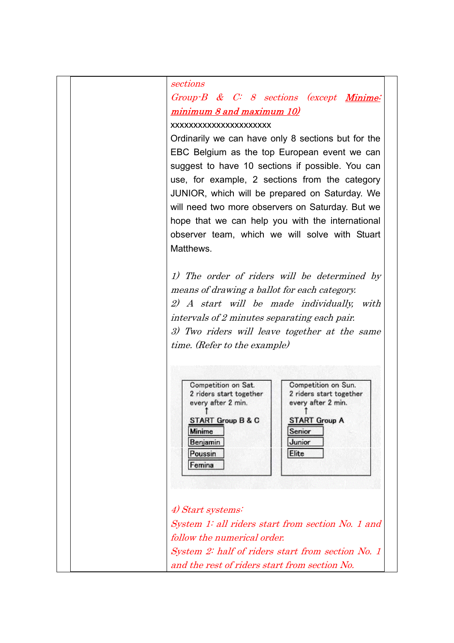sections Group-B & C: 8 sections (except Minime: minimum 8 and maximum 10) xxxxxxxxxxxxxxxxxxxxxx Ordinarily we can have only 8 sections but for the EBC Belgium as the top European event we can suggest to have 10 sections if possible. You can use, for example, 2 sections from the category JUNIOR, which will be prepared on Saturday. We will need two more observers on Saturday. But we hope that we can help you with the international observer team, which we will solve with Stuart **Matthews** 1) The order of riders will be determined by means of drawing a ballot for each category. 2) A start will be made individually, with intervals of 2 minutes separating each pair. 3) Two riders will leave together at the same time. (Refer to the example) Competition on Sat. Competition on Sun. 2 riders start together 2 riders start together every after 2 min. every after 2 min. **START Group B & C START Group A Minime** Senior Junior Benjamin Elite Poussin Femina 4) Start systems: System 1: all riders start from section No. 1 and follow the numerical order. System 2: half of riders start from section No. 1 and the rest of riders start from section No.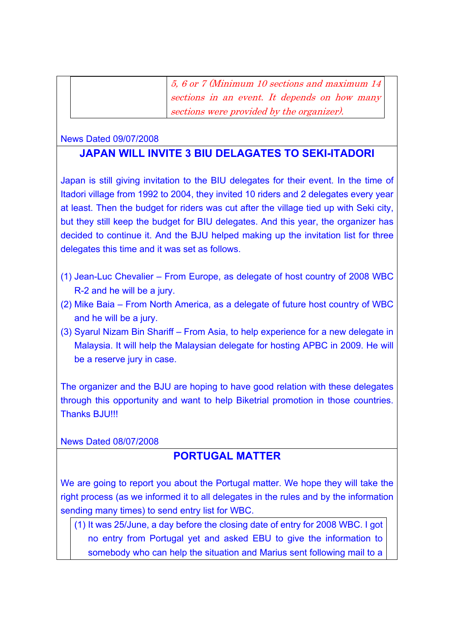5, 6 or 7 (Minimum 10 sections and maximum 14 sections in an event. It depends on how many sections were provided by the organizer).

#### News Dated 09/07/2008

#### **JAPAN WILL INVITE 3 BIU DELAGATES TO SEKI-ITADORI**

Japan is still giving invitation to the BIU delegates for their event. In the time of Itadori village from 1992 to 2004, they invited 10 riders and 2 delegates every year at least. Then the budget for riders was cut after the village tied up with Seki city, but they still keep the budget for BIU delegates. And this year, the organizer has decided to continue it. And the BJU helped making up the invitation list for three delegates this time and it was set as follows.

- (1) Jean-Luc Chevalier From Europe, as delegate of host country of 2008 WBC R-2 and he will be a jury.
- (2) Mike Baia From North America, as a delegate of future host country of WBC and he will be a jury.
- (3) Syarul Nizam Bin Shariff From Asia, to help experience for a new delegate in Malaysia. It will help the Malaysian delegate for hosting APBC in 2009. He will be a reserve jury in case.

The organizer and the BJU are hoping to have good relation with these delegates through this opportunity and want to help Biketrial promotion in those countries. Thanks BJU!!!

News Dated 08/07/2008

## **PORTUGAL MATTER**

We are going to report you about the Portugal matter. We hope they will take the right process (as we informed it to all delegates in the rules and by the information sending many times) to send entry list for WBC.

(1) It was 25/June, a day before the closing date of entry for 2008 WBC. I got no entry from Portugal yet and asked EBU to give the information to somebody who can help the situation and Marius sent following mail to a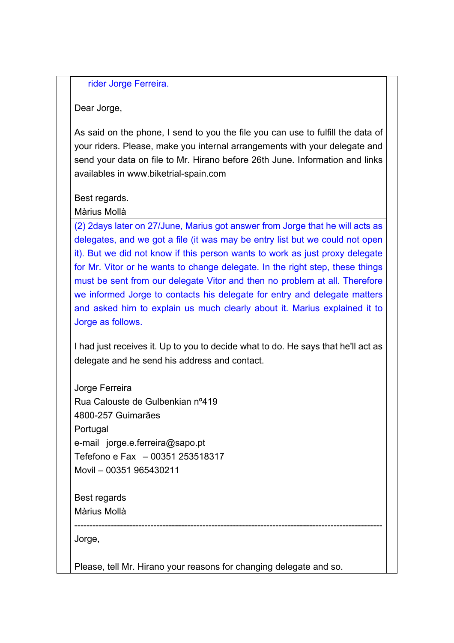rider Jorge Ferreira.

Dear Jorge,

As said on the phone, I send to you the file you can use to fulfill the data of your riders. Please, make you internal arrangements with your delegate and send your data on file to Mr. Hirano before 26th June. Information and links availables in www.biketrial-spain.com

Best regards.

Màrius Mollà

(2) 2days later on 27/June, Marius got answer from Jorge that he will acts as delegates, and we got a file (it was may be entry list but we could not open it). But we did not know if this person wants to work as just proxy delegate for Mr. Vitor or he wants to change delegate. In the right step, these things must be sent from our delegate Vitor and then no problem at all. Therefore we informed Jorge to contacts his delegate for entry and delegate matters and asked him to explain us much clearly about it. Marius explained it to Jorge as follows.

I had just receives it. Up to you to decide what to do. He says that he'll act as delegate and he send his address and contact.

Jorge Ferreira Rua Calouste de Gulbenkian nº419 4800-257 Guimarães Portugal e-mail jorge.e.ferreira@sapo.pt Tefefono e Fax – 00351 253518317 Movil – 00351 965430211

Best regards Màrius Mollà

Jorge,

Please, tell Mr. Hirano your reasons for changing delegate and so.

-----------------------------------------------------------------------------------------------------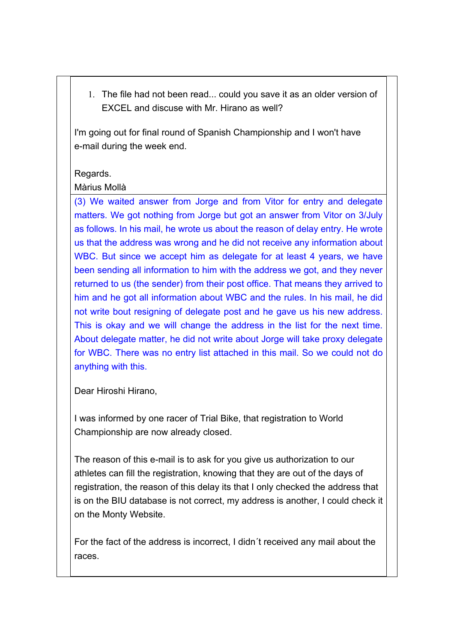1. The file had not been read... could you save it as an older version of EXCEL and discuse with Mr. Hirano as well?

I'm going out for final round of Spanish Championship and I won't have e-mail during the week end.

#### Regards.

#### Màrius Mollà

(3) We waited answer from Jorge and from Vitor for entry and delegate matters. We got nothing from Jorge but got an answer from Vitor on 3/July as follows. In his mail, he wrote us about the reason of delay entry. He wrote us that the address was wrong and he did not receive any information about WBC. But since we accept him as delegate for at least 4 years, we have been sending all information to him with the address we got, and they never returned to us (the sender) from their post office. That means they arrived to him and he got all information about WBC and the rules. In his mail, he did not write bout resigning of delegate post and he gave us his new address. This is okay and we will change the address in the list for the next time. About delegate matter, he did not write about Jorge will take proxy delegate for WBC. There was no entry list attached in this mail. So we could not do anything with this.

Dear Hiroshi Hirano,

I was informed by one racer of Trial Bike, that registration to World Championship are now already closed.

The reason of this e-mail is to ask for you give us authorization to our athletes can fill the registration, knowing that they are out of the days of registration, the reason of this delay its that I only checked the address that is on the BIU database is not correct, my address is another, I could check it on the Monty Website.

For the fact of the address is incorrect, I didn´t received any mail about the races.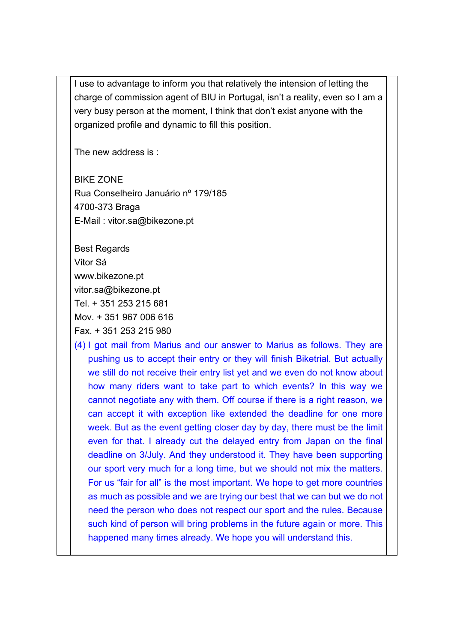I use to advantage to inform you that relatively the intension of letting the charge of commission agent of BIU in Portugal, isn't a reality, even so I am a very busy person at the moment, I think that don't exist anyone with the organized profile and dynamic to fill this position.

The new address is :

BIKE ZONE Rua Conselheiro Januário nº 179/185 4700-373 Braga E-Mail : vitor.sa@bikezone.pt

Best Regards Vitor Sá www.bikezone.pt vitor.sa@bikezone.pt Tel. + 351 253 215 681 Mov. + 351 967 006 616 Fax. + 351 253 215 980

(4) I got mail from Marius and our answer to Marius as follows. They are pushing us to accept their entry or they will finish Biketrial. But actually we still do not receive their entry list yet and we even do not know about how many riders want to take part to which events? In this way we cannot negotiate any with them. Off course if there is a right reason, we can accept it with exception like extended the deadline for one more week. But as the event getting closer day by day, there must be the limit even for that. I already cut the delayed entry from Japan on the final deadline on 3/July. And they understood it. They have been supporting our sport very much for a long time, but we should not mix the matters. For us "fair for all" is the most important. We hope to get more countries as much as possible and we are trying our best that we can but we do not need the person who does not respect our sport and the rules. Because such kind of person will bring problems in the future again or more. This happened many times already. We hope you will understand this.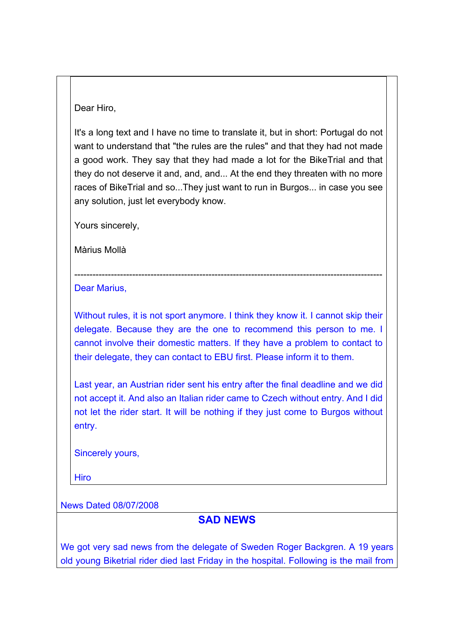Dear Hiro,

It's a long text and I have no time to translate it, but in short: Portugal do not want to understand that "the rules are the rules" and that they had not made a good work. They say that they had made a lot for the BikeTrial and that they do not deserve it and, and, and... At the end they threaten with no more races of BikeTrial and so...They just want to run in Burgos... in case you see any solution, just let everybody know.

Yours sincerely,

Màrius Mollà

Dear Marius,

Without rules, it is not sport anymore. I think they know it. I cannot skip their delegate. Because they are the one to recommend this person to me. I cannot involve their domestic matters. If they have a problem to contact to their delegate, they can contact to EBU first. Please inform it to them.

-----------------------------------------------------------------------------------------------------

Last year, an Austrian rider sent his entry after the final deadline and we did not accept it. And also an Italian rider came to Czech without entry. And I did not let the rider start. It will be nothing if they just come to Burgos without entry.

Sincerely yours,

Hiro

News Dated 08/07/2008

## **SAD NEWS**

We got very sad news from the delegate of Sweden Roger Backgren. A 19 years old young Biketrial rider died last Friday in the hospital. Following is the mail from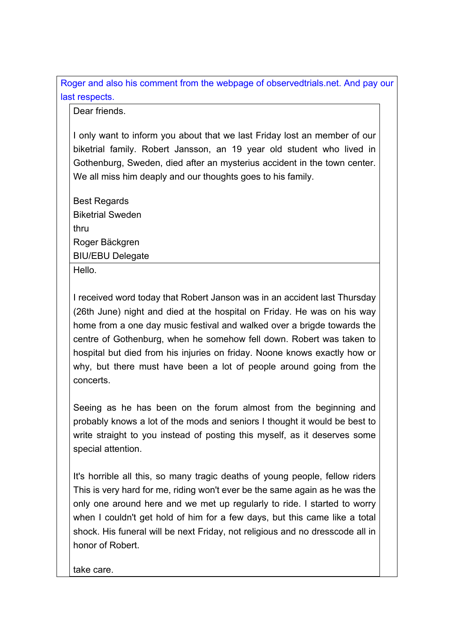Roger and also his comment from the webpage of observedtrials.net. And pay our last respects.

Dear friends.

I only want to inform you about that we last Friday lost an member of our biketrial family. Robert Jansson, an 19 year old student who lived in Gothenburg, Sweden, died after an mysterius accident in the town center. We all miss him deaply and our thoughts goes to his family.

Best Regards Biketrial Sweden thru Roger Bäckgren BIU/EBU Delegate Hello.

I received word today that Robert Janson was in an accident last Thursday (26th June) night and died at the hospital on Friday. He was on his way home from a one day music festival and walked over a brigde towards the centre of Gothenburg, when he somehow fell down. Robert was taken to hospital but died from his injuries on friday. Noone knows exactly how or why, but there must have been a lot of people around going from the concerts.

Seeing as he has been on the forum almost from the beginning and probably knows a lot of the mods and seniors I thought it would be best to write straight to you instead of posting this myself, as it deserves some special attention.

It's horrible all this, so many tragic deaths of young people, fellow riders This is very hard for me, riding won't ever be the same again as he was the only one around here and we met up regularly to ride. I started to worry when I couldn't get hold of him for a few days, but this came like a total shock. His funeral will be next Friday, not religious and no dresscode all in honor of Robert.

take care.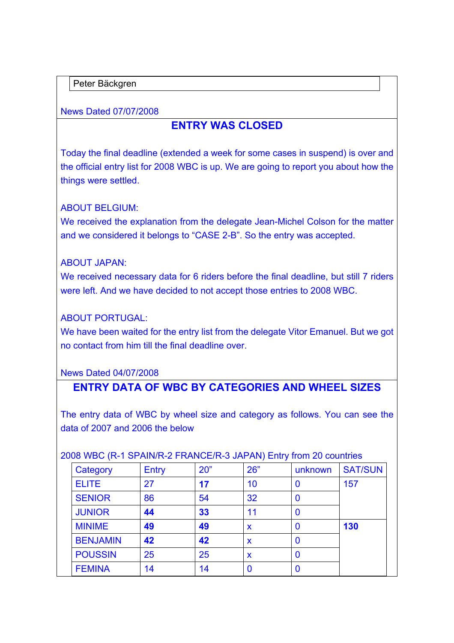Peter Bäckgren

News Dated 07/07/2008

# **ENTRY WAS CLOSED**

Today the final deadline (extended a week for some cases in suspend) is over and the official entry list for 2008 WBC is up. We are going to report you about how the things were settled.

#### ABOUT BELGIUM:

We received the explanation from the delegate Jean-Michel Colson for the matter and we considered it belongs to "CASE 2-B". So the entry was accepted.

#### ABOUT JAPAN:

We received necessary data for 6 riders before the final deadline, but still 7 riders were left. And we have decided to not accept those entries to 2008 WBC.

## ABOUT PORTUGAL:

We have been waited for the entry list from the delegate Vitor Emanuel. But we got no contact from him till the final deadline over.

#### News Dated 04/07/2008

## **ENTRY DATA OF WBC BY CATEGORIES AND WHEEL SIZES**

The entry data of WBC by wheel size and category as follows. You can see the data of 2007 and 2006 the below

| Category        | <b>Entry</b> | 20" | 26" | unknown | <b>SAT/SUN</b> |  |
|-----------------|--------------|-----|-----|---------|----------------|--|
| <b>ELITE</b>    | 27           | 17  | 10  | O       | 157            |  |
| <b>SENIOR</b>   | 86           | 54  | 32  | 0       |                |  |
| <b>JUNIOR</b>   | 44           | 33  | 11  | 0       |                |  |
| <b>MINIME</b>   | 49           | 49  | X   | 0       | 130            |  |
| <b>BENJAMIN</b> | 42           | 42  | X   | 0       |                |  |
| <b>POUSSIN</b>  | 25           | 25  | X   | 0       |                |  |
| <b>FEMINA</b>   | 14           | 14  |     | 0       |                |  |

#### 2008 WBC (R-1 SPAIN/R-2 FRANCE/R-3 JAPAN) Entry from 20 countries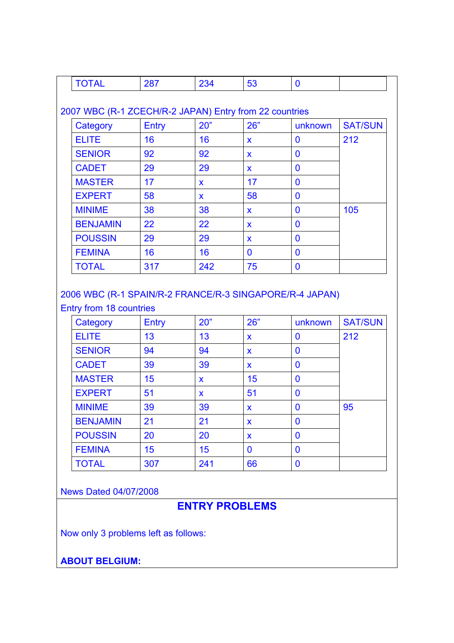| <b>TOTAL</b>                                           | 287          | 234          | 53           | $\mathbf{0}$ |                |
|--------------------------------------------------------|--------------|--------------|--------------|--------------|----------------|
|                                                        |              |              |              |              |                |
| 2007 WBC (R-1 ZCECH/R-2 JAPAN) Entry from 22 countries |              |              |              |              |                |
| Category                                               | <b>Entry</b> | 20"          | 26"          | unknown      | <b>SAT/SUN</b> |
| <b>ELITE</b>                                           | 16           | 16           | $\mathbf{x}$ | $\bf{0}$     | 212            |
| <b>SENIOR</b>                                          | 92           | 92           | $\mathbf{x}$ | $\bf{0}$     |                |
| <b>CADET</b>                                           | 29           | 29           | $\mathbf{x}$ | $\bf{0}$     |                |
| <b>MASTER</b>                                          | 17           | $\mathbf{x}$ | 17           | $\bf{0}$     |                |
| <b>EXPERT</b>                                          | 58           | X            | 58           | $\mathbf{0}$ |                |
| <b>MINIME</b>                                          | 38           | 38           | $\mathbf{x}$ | $\bf{0}$     | 105            |
| <b>BENJAMIN</b>                                        | 22           | 22           | $\mathbf{x}$ | 0            |                |
| <b>POUSSIN</b>                                         | 29           | 29           | $\mathbf{x}$ | $\bf{0}$     |                |
| <b>FEMINA</b>                                          | 16           | 16           | $\Omega$     | $\Omega$     |                |
| <b>TOTAL</b>                                           | 317          | 242          | 75           | $\bf{0}$     |                |

## 2006 WBC (R-1 SPAIN/R-2 FRANCE/R-3 SINGAPORE/R-4 JAPAN) Entry from 18 countries

| Category        | Entry | 20"         | 26"          | unknown        | <b>SAT/SUN</b> |
|-----------------|-------|-------------|--------------|----------------|----------------|
| <b>ELITE</b>    | 13    | 13          | $\mathbf{x}$ | 0              | 212            |
| <b>SENIOR</b>   | 94    | 94          | X            | $\bf{0}$       |                |
| <b>CADET</b>    | 39    | 39          | $\mathbf x$  | $\bf{0}$       |                |
| <b>MASTER</b>   | 15    | $\mathbf x$ | 15           | $\bf{0}$       |                |
| <b>EXPERT</b>   | 51    | X           | 51           | $\overline{0}$ |                |
| <b>MINIME</b>   | 39    | 39          | $\mathbf x$  | $\bf{0}$       | 95             |
| <b>BENJAMIN</b> | 21    | 21          | X            | $\bf{0}$       |                |
| <b>POUSSIN</b>  | 20    | 20          | $\mathbf x$  | $\bf{0}$       |                |
| <b>FEMINA</b>   | 15    | 15          | $\bf{0}$     | $\bf{0}$       |                |
| <b>TOTAL</b>    | 307   | 241         | 66           | $\bf{0}$       |                |

## News Dated 04/07/2008

# **ENTRY PROBLEMS**

Now only 3 problems left as follows:

**ABOUT BELGIUM:**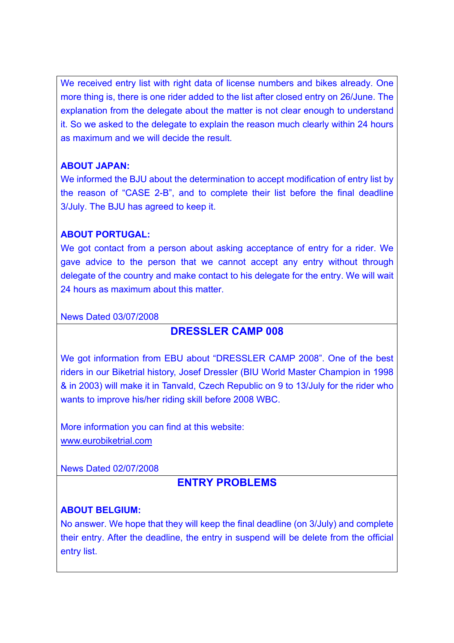We received entry list with right data of license numbers and bikes already. One more thing is, there is one rider added to the list after closed entry on 26/June. The explanation from the delegate about the matter is not clear enough to understand it. So we asked to the delegate to explain the reason much clearly within 24 hours as maximum and we will decide the result.

#### **ABOUT JAPAN:**

We informed the BJU about the determination to accept modification of entry list by the reason of "CASE 2-B", and to complete their list before the final deadline 3/July. The BJU has agreed to keep it.

#### **ABOUT PORTUGAL:**

We got contact from a person about asking acceptance of entry for a rider. We gave advice to the person that we cannot accept any entry without through delegate of the country and make contact to his delegate for the entry. We will wait 24 hours as maximum about this matter.

#### News Dated 03/07/2008

## **DRESSLER CAMP 008**

We got information from EBU about "DRESSLER CAMP 2008". One of the best riders in our Biketrial history, Josef Dressler (BIU World Master Champion in 1998 & in 2003) will make it in Tanvald, Czech Republic on 9 to 13/July for the rider who wants to improve his/her riding skill before 2008 WBC.

More information you can find at this website: www.eurobiketrial.com

News Dated 02/07/2008

## **ENTRY PROBLEMS**

## **ABOUT BELGIUM:**

No answer. We hope that they will keep the final deadline (on 3/July) and complete their entry. After the deadline, the entry in suspend will be delete from the official entry list.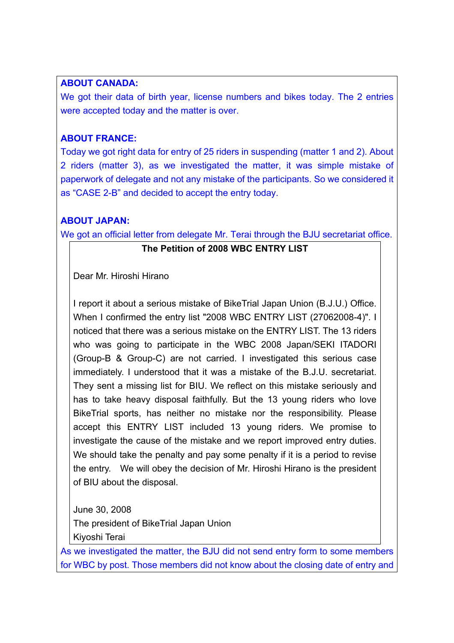#### **ABOUT CANADA:**

We got their data of birth year, license numbers and bikes today. The 2 entries were accepted today and the matter is over.

## **ABOUT FRANCE:**

Today we got right data for entry of 25 riders in suspending (matter 1 and 2). About 2 riders (matter 3), as we investigated the matter, it was simple mistake of paperwork of delegate and not any mistake of the participants. So we considered it as "CASE 2-B" and decided to accept the entry today.

## **ABOUT JAPAN:**

We got an official letter from delegate Mr. Terai through the BJU secretariat office.

## **The Petition of 2008 WBC ENTRY LIST**

Dear Mr. Hiroshi Hirano

I report it about a serious mistake of BikeTrial Japan Union (B.J.U.) Office. When I confirmed the entry list "2008 WBC ENTRY LIST (27062008-4)". I noticed that there was a serious mistake on the ENTRY LIST. The 13 riders who was going to participate in the WBC 2008 Japan/SEKI ITADORI (Group-B & Group-C) are not carried. I investigated this serious case immediately. I understood that it was a mistake of the B.J.U. secretariat. They sent a missing list for BIU. We reflect on this mistake seriously and has to take heavy disposal faithfully. But the 13 young riders who love BikeTrial sports, has neither no mistake nor the responsibility. Please accept this ENTRY LIST included 13 young riders. We promise to investigate the cause of the mistake and we report improved entry duties. We should take the penalty and pay some penalty if it is a period to revise the entry. We will obey the decision of Mr. Hiroshi Hirano is the president of BIU about the disposal.

June 30, 2008

The president of BikeTrial Japan Union

Kiyoshi Terai

As we investigated the matter, the BJU did not send entry form to some members for WBC by post. Those members did not know about the closing date of entry and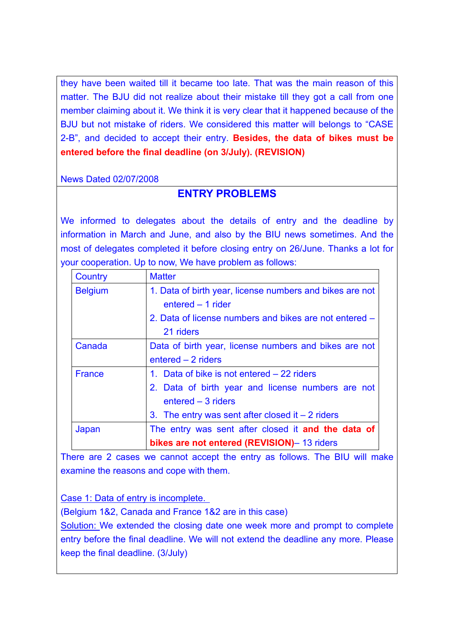they have been waited till it became too late. That was the main reason of this matter. The BJU did not realize about their mistake till they got a call from one member claiming about it. We think it is very clear that it happened because of the BJU but not mistake of riders. We considered this matter will belongs to "CASE 2-B", and decided to accept their entry. **Besides, the data of bikes must be entered before the final deadline (on 3/July). (REVISION)**

News Dated 02/07/2008

# **ENTRY PROBLEMS**

We informed to delegates about the details of entry and the deadline by information in March and June, and also by the BIU news sometimes. And the most of delegates completed it before closing entry on 26/June. Thanks a lot for your cooperation. Up to now, We have problem as follows:

| Country        | <b>Matter</b>                                            |
|----------------|----------------------------------------------------------|
| <b>Belgium</b> | 1. Data of birth year, license numbers and bikes are not |
|                | entered - 1 rider                                        |
|                | 2. Data of license numbers and bikes are not entered –   |
|                | 21 riders                                                |
| Canada         | Data of birth year, license numbers and bikes are not    |
|                | $entered - 2$ riders                                     |
| <b>France</b>  | 1. Data of bike is not entered – 22 riders               |
|                | 2. Data of birth year and license numbers are not        |
|                | entered - 3 riders                                       |
|                | 3. The entry was sent after closed it $-2$ riders        |
| Japan          | The entry was sent after closed it and the data of       |
|                | bikes are not entered (REVISION)- 13 riders              |

There are 2 cases we cannot accept the entry as follows. The BIU will make examine the reasons and cope with them.

Case 1: Data of entry is incomplete.

(Belgium 1&2, Canada and France 1&2 are in this case)

Solution: We extended the closing date one week more and prompt to complete entry before the final deadline. We will not extend the deadline any more. Please keep the final deadline. (3/July)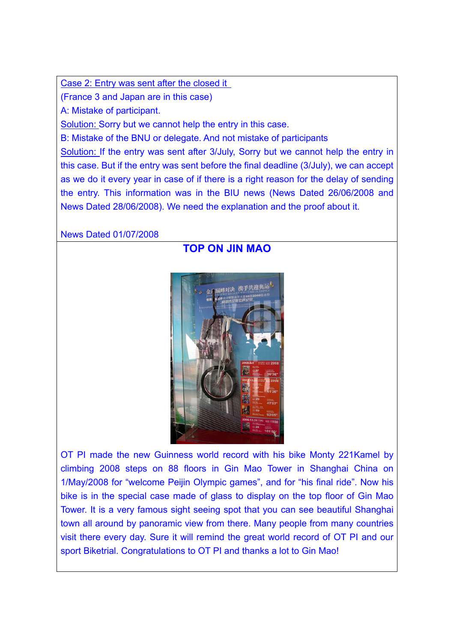Case 2: Entry was sent after the closed it

(France 3 and Japan are in this case)

A: Mistake of participant.

Solution: Sorry but we cannot help the entry in this case.

B: Mistake of the BNU or delegate. And not mistake of participants

Solution: If the entry was sent after 3/July, Sorry but we cannot help the entry in this case. But if the entry was sent before the final deadline (3/July), we can accept as we do it every year in case of if there is a right reason for the delay of sending the entry. This information was in the BIU news (News Dated 26/06/2008 and News Dated 28/06/2008). We need the explanation and the proof about it.

News Dated 01/07/2008

**TOP ON JIN MAO** 



OT PI made the new Guinness world record with his bike Monty 221Kamel by climbing 2008 steps on 88 floors in Gin Mao Tower in Shanghai China on 1/May/2008 for "welcome Peijin Olympic games", and for "his final ride". Now his bike is in the special case made of glass to display on the top floor of Gin Mao Tower. It is a very famous sight seeing spot that you can see beautiful Shanghai town all around by panoramic view from there. Many people from many countries visit there every day. Sure it will remind the great world record of OT PI and our sport Biketrial. Congratulations to OT PI and thanks a lot to Gin Mao!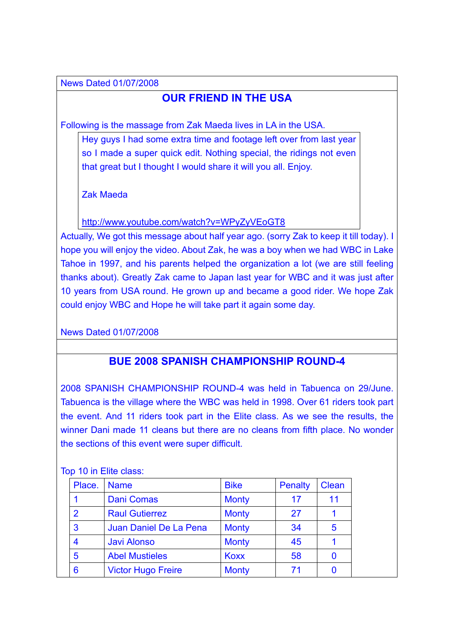News Dated 01/07/2008

# **OUR FRIEND IN THE USA**

Following is the massage from Zak Maeda lives in LA in the USA.

Hey guys I had some extra time and footage left over from last year so I made a super quick edit. Nothing special, the ridings not even that great but I thought I would share it will you all. Enjoy.

Zak Maeda

http://www.youtube.com/watch?v=WPyZyVEoGT8

Actually, We got this message about half year ago. (sorry Zak to keep it till today). I hope you will enjoy the video. About Zak, he was a boy when we had WBC in Lake Tahoe in 1997, and his parents helped the organization a lot (we are still feeling thanks about). Greatly Zak came to Japan last year for WBC and it was just after 10 years from USA round. He grown up and became a good rider. We hope Zak could enjoy WBC and Hope he will take part it again some day.

News Dated 01/07/2008

# **BUE 2008 SPANISH CHAMPIONSHIP ROUND-4**

2008 SPANISH CHAMPIONSHIP ROUND-4 was held in Tabuenca on 29/June. Tabuenca is the village where the WBC was held in 1998. Over 61 riders took part the event. And 11 riders took part in the Elite class. As we see the results, the winner Dani made 11 cleans but there are no cleans from fifth place. No wonder the sections of this event were super difficult.

| Place.         | <b>Name</b>               | <b>Bike</b>  | <b>Penalty</b> | <b>Clean</b> |
|----------------|---------------------------|--------------|----------------|--------------|
|                | <b>Dani Comas</b>         | <b>Monty</b> | 17             | 11           |
| $\overline{2}$ | <b>Raul Gutierrez</b>     | <b>Monty</b> | 27             |              |
| 3              | Juan Daniel De La Pena    | <b>Monty</b> | 34             | 5            |
| 4              | <b>Javi Alonso</b>        | <b>Monty</b> | 45             |              |
| 5              | <b>Abel Mustieles</b>     | <b>Koxx</b>  | 58             |              |
| 6              | <b>Victor Hugo Freire</b> | <b>Monty</b> | 71             |              |

Top 10 in Elite class: